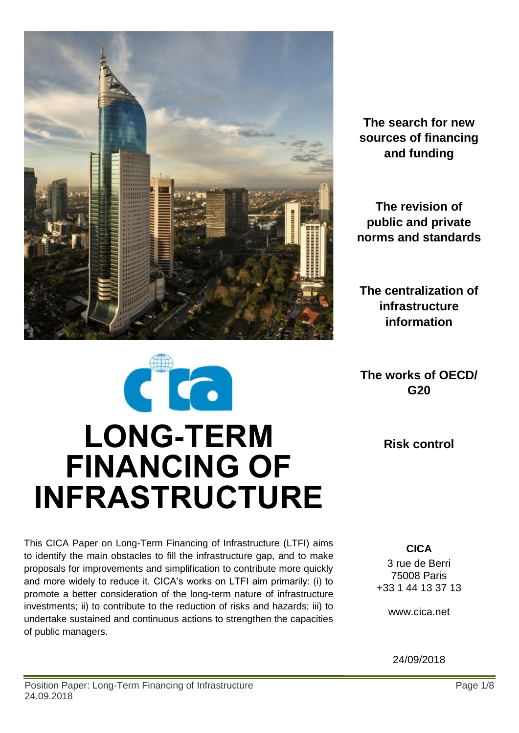

**The search for new sources of financing and funding**

**The revision of public and private norms and standards**

**The centralization of infrastructure information**

**The works of OECD/ G20**

**Risk control**

**CICA**

3 rue de Berri 75008 Paris +33 1 44 13 37 13

www.cica.net

24/09/2018



# **LONG-TERM FINANCING OF INFRASTRUCTURE**

This CICA Paper on Long-Term Financing of Infrastructure (LTFI) aims to identify the main obstacles to fill the infrastructure gap, and to make proposals for improvements and simplification to contribute more quickly and more widely to reduce it. CICA's works on LTFI aim primarily: (i) to promote a better consideration of the long-term nature of infrastructure investments; ii) to contribute to the reduction of risks and hazards; iii) to undertake sustained and continuous actions to strengthen the capacities of public managers.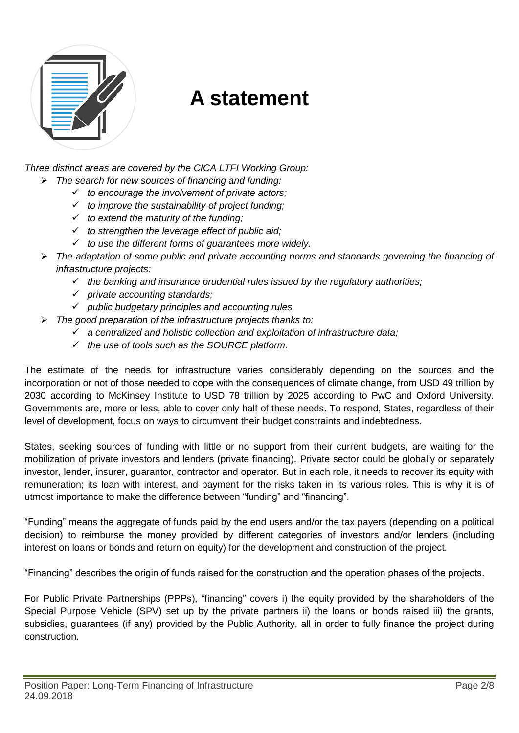

# **A statement**

*Three distinct areas are covered by the CICA LTFI Working Group:*

- *The search for new sources of financing and funding:* 
	- *to encourage the involvement of private actors;*
	- *to improve the sustainability of project funding;*
	- *to extend the maturity of the funding;*
	- *to strengthen the leverage effect of public aid;*
	- *to use the different forms of guarantees more widely.*
- *The adaptation of some public and private accounting norms and standards governing the financing of infrastructure projects:* 
	- *the banking and insurance prudential rules issued by the regulatory authorities;*
	- *private accounting standards;*
	- *public budgetary principles and accounting rules.*
- *The good preparation of the infrastructure projects thanks to:* 
	- *a centralized and holistic collection and exploitation of infrastructure data;*
	- *the use of tools such as the SOURCE platform.*

The estimate of the needs for infrastructure varies considerably depending on the sources and the incorporation or not of those needed to cope with the consequences of climate change, from USD 49 trillion by 2030 according to McKinsey Institute to USD 78 trillion by 2025 according to PwC and Oxford University. Governments are, more or less, able to cover only half of these needs. To respond, States, regardless of their level of development, focus on ways to circumvent their budget constraints and indebtedness.

States, seeking sources of funding with little or no support from their current budgets, are waiting for the mobilization of private investors and lenders (private financing). Private sector could be globally or separately investor, lender, insurer, guarantor, contractor and operator. But in each role, it needs to recover its equity with remuneration; its loan with interest, and payment for the risks taken in its various roles. This is why it is of utmost importance to make the difference between "funding" and "financing".

"Funding" means the aggregate of funds paid by the end users and/or the tax payers (depending on a political decision) to reimburse the money provided by different categories of investors and/or lenders (including interest on loans or bonds and return on equity) for the development and construction of the project.

"Financing" describes the origin of funds raised for the construction and the operation phases of the projects.

For Public Private Partnerships (PPPs), "financing" covers i) the equity provided by the shareholders of the Special Purpose Vehicle (SPV) set up by the private partners ii) the loans or bonds raised iii) the grants, subsidies, guarantees (if any) provided by the Public Authority, all in order to fully finance the project during construction.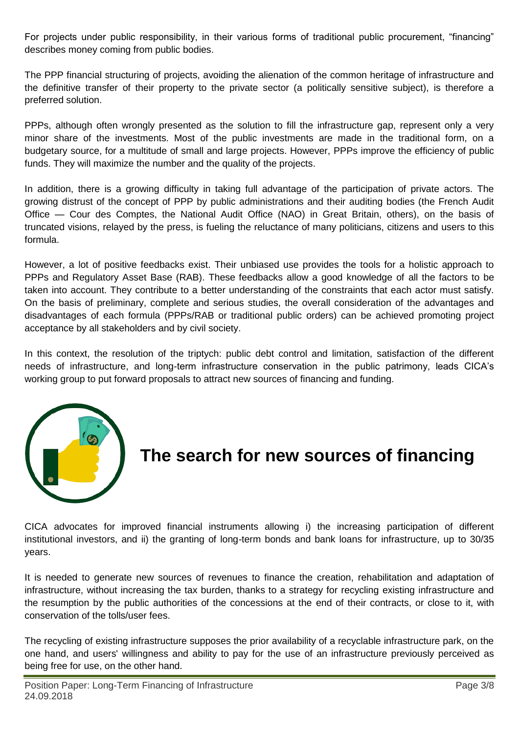For projects under public responsibility, in their various forms of traditional public procurement, "financing" describes money coming from public bodies.

The PPP financial structuring of projects, avoiding the alienation of the common heritage of infrastructure and the definitive transfer of their property to the private sector (a politically sensitive subject), is therefore a preferred solution.

PPPs, although often wrongly presented as the solution to fill the infrastructure gap, represent only a very minor share of the investments. Most of the public investments are made in the traditional form, on a budgetary source, for a multitude of small and large projects. However, PPPs improve the efficiency of public funds. They will maximize the number and the quality of the projects.

In addition, there is a growing difficulty in taking full advantage of the participation of private actors. The growing distrust of the concept of PPP by public administrations and their auditing bodies (the French Audit Office — Cour des Comptes, the National Audit Office (NAO) in Great Britain, others), on the basis of truncated visions, relayed by the press, is fueling the reluctance of many politicians, citizens and users to this formula.

However, a lot of positive feedbacks exist. Their unbiased use provides the tools for a holistic approach to PPPs and Regulatory Asset Base (RAB). These feedbacks allow a good knowledge of all the factors to be taken into account. They contribute to a better understanding of the constraints that each actor must satisfy. On the basis of preliminary, complete and serious studies, the overall consideration of the advantages and disadvantages of each formula (PPPs/RAB or traditional public orders) can be achieved promoting project acceptance by all stakeholders and by civil society.

In this context, the resolution of the triptych: public debt control and limitation, satisfaction of the different needs of infrastructure, and long-term infrastructure conservation in the public patrimony, leads CICA's working group to put forward proposals to attract new sources of financing and funding.



### **The search for new sources of financing**

CICA advocates for improved financial instruments allowing i) the increasing participation of different institutional investors, and ii) the granting of long-term bonds and bank loans for infrastructure, up to 30/35 years.

It is needed to generate new sources of revenues to finance the creation, rehabilitation and adaptation of infrastructure, without increasing the tax burden, thanks to a strategy for recycling existing infrastructure and the resumption by the public authorities of the concessions at the end of their contracts, or close to it, with conservation of the tolls/user fees.

The recycling of existing infrastructure supposes the prior availability of a recyclable infrastructure park, on the one hand, and users' willingness and ability to pay for the use of an infrastructure previously perceived as being free for use, on the other hand.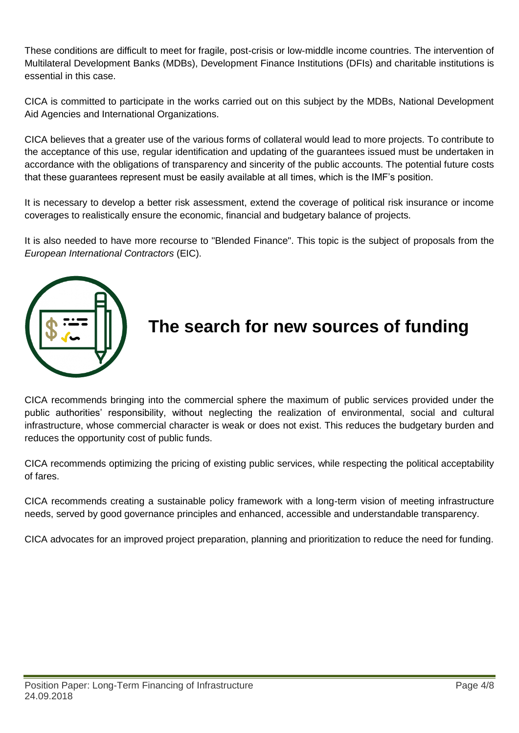These conditions are difficult to meet for fragile, post-crisis or low-middle income countries. The intervention of Multilateral Development Banks (MDBs), Development Finance Institutions (DFIs) and charitable institutions is essential in this case.

CICA is committed to participate in the works carried out on this subject by the MDBs, National Development Aid Agencies and International Organizations.

CICA believes that a greater use of the various forms of collateral would lead to more projects. To contribute to the acceptance of this use, regular identification and updating of the guarantees issued must be undertaken in accordance with the obligations of transparency and sincerity of the public accounts. The potential future costs that these guarantees represent must be easily available at all times, which is the IMF's position.

It is necessary to develop a better risk assessment, extend the coverage of political risk insurance or income coverages to realistically ensure the economic, financial and budgetary balance of projects.

It is also needed to have more recourse to "Blended Finance". This topic is the subject of proposals from the *European International Contractors* (EIC).



### **The search for new sources of funding**

CICA recommends bringing into the commercial sphere the maximum of public services provided under the public authorities' responsibility, without neglecting the realization of environmental, social and cultural infrastructure, whose commercial character is weak or does not exist. This reduces the budgetary burden and reduces the opportunity cost of public funds.

CICA recommends optimizing the pricing of existing public services, while respecting the political acceptability of fares.

CICA recommends creating a sustainable policy framework with a long-term vision of meeting infrastructure needs, served by good governance principles and enhanced, accessible and understandable transparency.

CICA advocates for an improved project preparation, planning and prioritization to reduce the need for funding.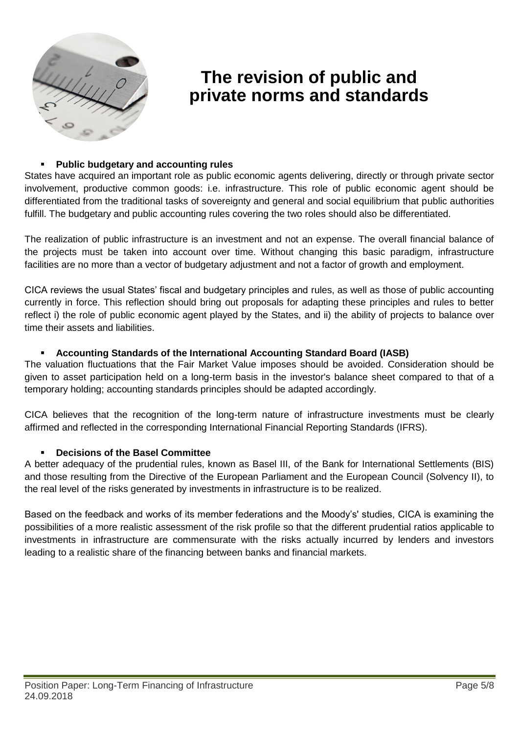

### **The revision of public and private norms and standards**

#### **Public budgetary and accounting rules**

States have acquired an important role as public economic agents delivering, directly or through private sector involvement, productive common goods: i.e. infrastructure. This role of public economic agent should be differentiated from the traditional tasks of sovereignty and general and social equilibrium that public authorities fulfill. The budgetary and public accounting rules covering the two roles should also be differentiated.

The realization of public infrastructure is an investment and not an expense. The overall financial balance of the projects must be taken into account over time. Without changing this basic paradigm, infrastructure facilities are no more than a vector of budgetary adjustment and not a factor of growth and employment.

CICA reviews the usual States' fiscal and budgetary principles and rules, as well as those of public accounting currently in force. This reflection should bring out proposals for adapting these principles and rules to better reflect i) the role of public economic agent played by the States, and ii) the ability of projects to balance over time their assets and liabilities.

#### **Accounting Standards of the International Accounting Standard Board (IASB)**

The valuation fluctuations that the Fair Market Value imposes should be avoided. Consideration should be given to asset participation held on a long-term basis in the investor's balance sheet compared to that of a temporary holding; accounting standards principles should be adapted accordingly.

CICA believes that the recognition of the long-term nature of infrastructure investments must be clearly affirmed and reflected in the corresponding International Financial Reporting Standards (IFRS).

#### **Decisions of the Basel Committee**

A better adequacy of the prudential rules, known as Basel III, of the Bank for International Settlements (BIS) and those resulting from the Directive of the European Parliament and the European Council (Solvency II), to the real level of the risks generated by investments in infrastructure is to be realized.

Based on the feedback and works of its member federations and the Moody's' studies, CICA is examining the possibilities of a more realistic assessment of the risk profile so that the different prudential ratios applicable to investments in infrastructure are commensurate with the risks actually incurred by lenders and investors leading to a realistic share of the financing between banks and financial markets.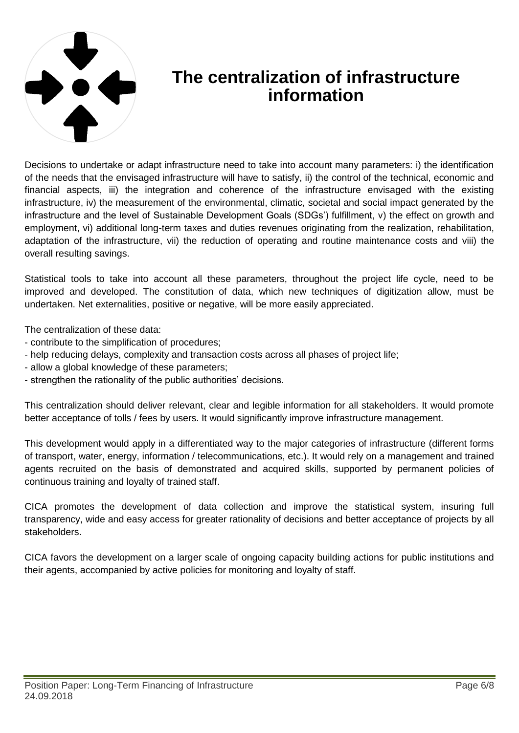

### **The centralization of infrastructure information**

Decisions to undertake or adapt infrastructure need to take into account many parameters: i) the identification of the needs that the envisaged infrastructure will have to satisfy, ii) the control of the technical, economic and financial aspects, iii) the integration and coherence of the infrastructure envisaged with the existing infrastructure, iv) the measurement of the environmental, climatic, societal and social impact generated by the infrastructure and the level of Sustainable Development Goals (SDGs') fulfillment, v) the effect on growth and employment, vi) additional long-term taxes and duties revenues originating from the realization, rehabilitation, adaptation of the infrastructure, vii) the reduction of operating and routine maintenance costs and viii) the overall resulting savings.

Statistical tools to take into account all these parameters, throughout the project life cycle, need to be improved and developed. The constitution of data, which new techniques of digitization allow, must be undertaken. Net externalities, positive or negative, will be more easily appreciated.

The centralization of these data:

- contribute to the simplification of procedures;
- help reducing delays, complexity and transaction costs across all phases of project life;
- allow a global knowledge of these parameters;
- strengthen the rationality of the public authorities' decisions.

This centralization should deliver relevant, clear and legible information for all stakeholders. It would promote better acceptance of tolls / fees by users. It would significantly improve infrastructure management.

This development would apply in a differentiated way to the major categories of infrastructure (different forms of transport, water, energy, information / telecommunications, etc.). It would rely on a management and trained agents recruited on the basis of demonstrated and acquired skills, supported by permanent policies of continuous training and loyalty of trained staff.

CICA promotes the development of data collection and improve the statistical system, insuring full transparency, wide and easy access for greater rationality of decisions and better acceptance of projects by all stakeholders.

CICA favors the development on a larger scale of ongoing capacity building actions for public institutions and their agents, accompanied by active policies for monitoring and loyalty of staff.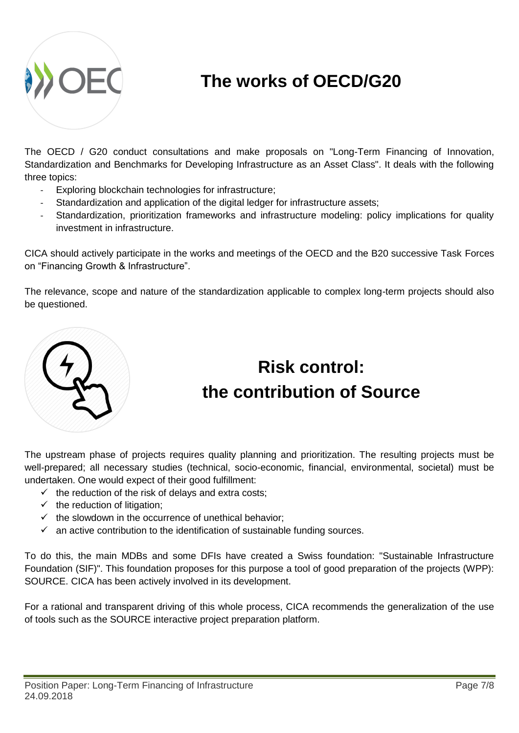

### **The works of OECD/G20**

The OECD / G20 conduct consultations and make proposals on "Long-Term Financing of Innovation, Standardization and Benchmarks for Developing Infrastructure as an Asset Class". It deals with the following three topics:

- Exploring blockchain technologies for infrastructure;
- Standardization and application of the digital ledger for infrastructure assets;
- Standardization, prioritization frameworks and infrastructure modeling: policy implications for quality investment in infrastructure.

CICA should actively participate in the works and meetings of the OECD and the B20 successive Task Forces on "Financing Growth & Infrastructure".

The relevance, scope and nature of the standardization applicable to complex long-term projects should also be questioned.



## **Risk control: the contribution of Source**

The upstream phase of projects requires quality planning and prioritization. The resulting projects must be well-prepared; all necessary studies (technical, socio-economic, financial, environmental, societal) must be undertaken. One would expect of their good fulfillment:

- $\checkmark$  the reduction of the risk of delays and extra costs;
- $\checkmark$  the reduction of litigation;
- $\checkmark$  the slowdown in the occurrence of unethical behavior;
- $\checkmark$  an active contribution to the identification of sustainable funding sources.

To do this, the main MDBs and some DFIs have created a Swiss foundation: "Sustainable Infrastructure Foundation (SIF)". This foundation proposes for this purpose a tool of good preparation of the projects (WPP): SOURCE. CICA has been actively involved in its development.

For a rational and transparent driving of this whole process, CICA recommends the generalization of the use of tools such as the SOURCE interactive project preparation platform.